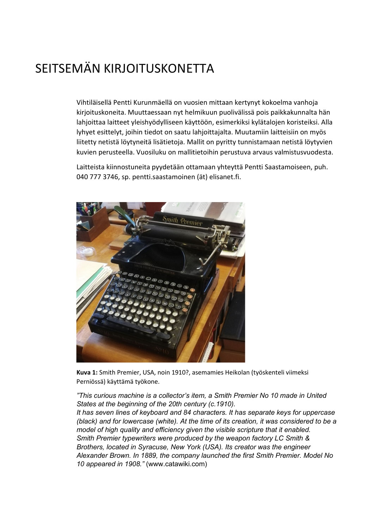## SEITSEMÄN KIRJOITUSKONETTA

Vihtiläisellä Pentti Kurunmäellä on vuosien mittaan kertynyt kokoelma vanhoja kirjoituskoneita. Muuttaessaan nyt helmikuun puolivälissä pois paikkakunnalta hän lahjoittaa laitteet yleishyödylliseen käyttöön, esimerkiksi kylätalojen koristeiksi. Alla lyhyet esittelyt, joihin tiedot on saatu lahjoittajalta. Muutamiin laitteisiin on myös liitetty netistä löytyneitä lisätietoja. Mallit on pyritty tunnistamaan netistä löytyvien kuvien perusteella. Vuosiluku on mallitietoihin perustuva arvaus valmistusvuodesta.

Laitteista kiinnostuneita pyydetään ottamaan yhteyttä Pentti Saastamoiseen, puh. 040 777 3746, sp. pentti.saastamoinen (ät) elisanet.fi.



**Kuva 1:** Smith Premier, USA, noin 1910?, asemamies Heikolan (työskenteli viimeksi Perniössä) käyttämä työkone.

*"This curious machine is a collector's item, a Smith Premier No 10 made in United States at the beginning of the 20th century (c.1910).*

*It has seven lines of keyboard and 84 characters. It has separate keys for uppercase (black) and for lowercase (white). At the time of its creation, it was considered to be a model of high quality and efficiency given the visible scripture that it enabled. Smith Premier typewriters were produced by the weapon factory LC Smith & Brothers, located in Syracuse, New York (USA). Its creator was the engineer Alexander Brown. In 1889, the company launched the first Smith Premier. Model No 10 appeared in 1908."* (www.catawiki.com)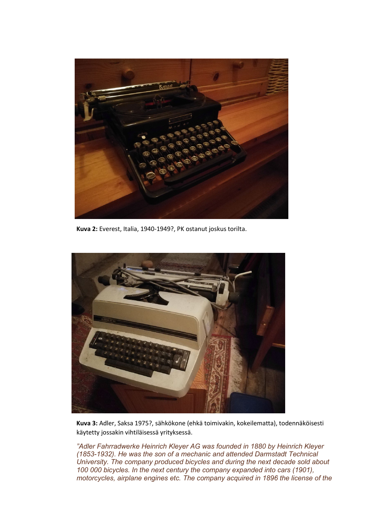

**Kuva 2:** Everest, Italia, 1940-1949?, PK ostanut joskus torilta.



**Kuva 3:** Adler, Saksa 1975?, sähkökone (ehkä toimivakin, kokeilematta), todennäköisesti käytetty jossakin vihtiläisessä yrityksessä.

*"Adler Fahrradwerke Heinrich Kleyer AG was founded in 1880 by Heinrich Kleyer (1853-1932). He was the son of a mechanic and attended Darmstadt Technical University. The company produced bicycles and during the next decade sold about 100 000 bicycles. In the next century the company expanded into cars (1901), motorcycles, airplane engines etc. The company acquired in 1896 the license of the*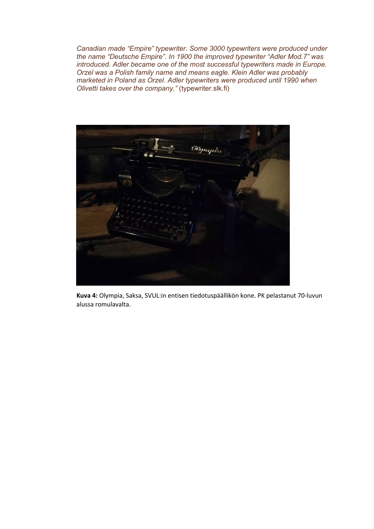*Canadian made "Empire" typewriter. Some 3000 typewriters were produced under the name "Deutsche Empire". In 1900 the improved typewriter "Adler Mod.7" was introduced. Adler became one of the most successful typewriters made in Europe. Orzel was a Polish family name and means eagle. Klein Adler was probably marketed in Poland as Orzel. Adler typewriters were produced until 1990 when Olivetti takes over the company."* (typewriter.slk.fi)



**Kuva 4:** Olympia, Saksa, SVUL:in entisen tiedotuspäällikön kone. PK pelastanut 70-luvun alussa romulavalta.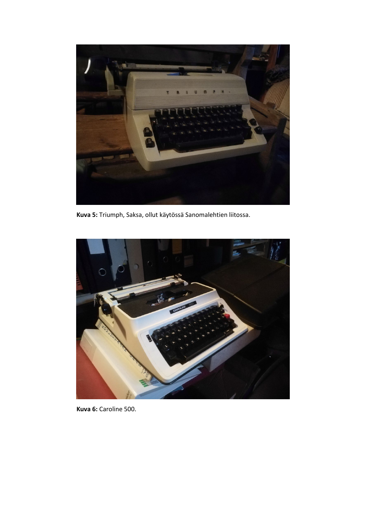

**Kuva 5:** Triumph, Saksa, ollut käytössä Sanomalehtien liitossa.



**Kuva 6:** Caroline 500.